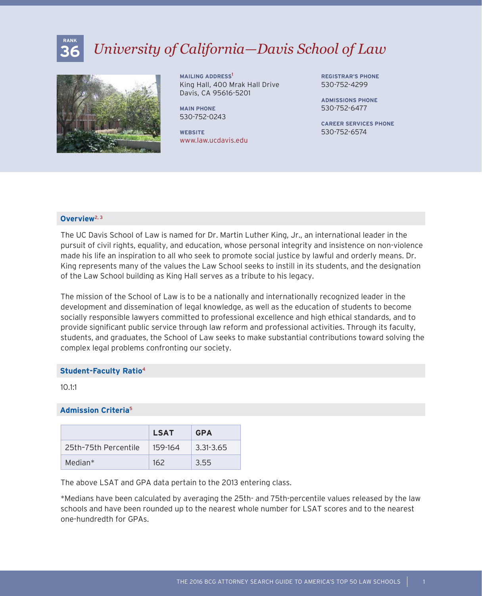# **36** *University of California—Davis School of Law*



**MAILING ADDRESS**<sup>1</sup> King Hall, 400 Mrak Hall Drive Davis, CA 95616-5201

**MAIN PHONE** 530-752-0243

**WEBSITE** www.law.ucdavis.edu **REGISTRAR'S PHONE** 530-752-4299

**ADMISSIONS PHONE** 530-752-6477

**CAREER SERVICES PHONE** 530-752-6574

# **Overview**2, 3

**RANK**

The UC Davis School of Law is named for Dr. Martin Luther King, Jr., an international leader in the pursuit of civil rights, equality, and education, whose personal integrity and insistence on non-violence made his life an inspiration to all who seek to promote social justice by lawful and orderly means. Dr. King represents many of the values the Law School seeks to instill in its students, and the designation of the Law School building as King Hall serves as a tribute to his legacy.

The mission of the School of Law is to be a nationally and internationally recognized leader in the development and dissemination of legal knowledge, as well as the education of students to become socially responsible lawyers committed to professional excellence and high ethical standards, and to provide significant public service through law reform and professional activities. Through its faculty, students, and graduates, the School of Law seeks to make substantial contributions toward solving the complex legal problems confronting our society.

### **Student-Faculty Ratio**<sup>4</sup>

10.1:1

## **Admission Criteria**<sup>5</sup>

|                      | <b>LSAT</b> | <b>GPA</b> |
|----------------------|-------------|------------|
| 25th-75th Percentile | 159-164     | 3.31-3.65  |
| Median*              | 162         | 3.55       |

The above LSAT and GPA data pertain to the 2013 entering class.

\*Medians have been calculated by averaging the 25th- and 75th-percentile values released by the law schools and have been rounded up to the nearest whole number for LSAT scores and to the nearest one-hundredth for GPAs.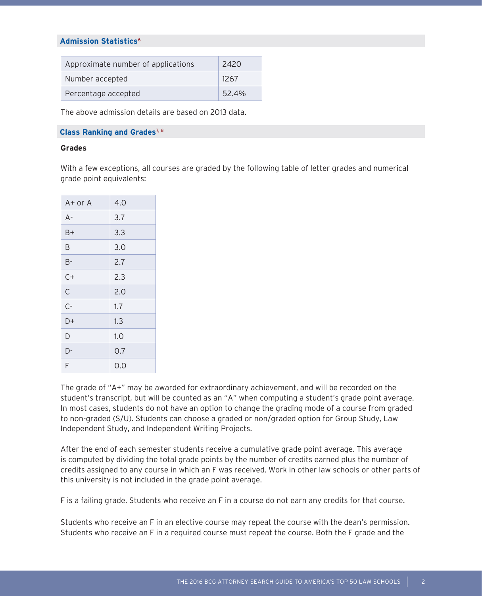## **Admission Statistics**<sup>6</sup>

| Approximate number of applications | 2420  |
|------------------------------------|-------|
| Number accepted                    | 1267  |
| Percentage accepted                | 52.4% |

The above admission details are based on 2013 data.

## **Class Ranking and Grades**<sup>7, 8</sup>

## **Grades**

With a few exceptions, all courses are graded by the following table of letter grades and numerical grade point equivalents:

| A+ or A | 4.0 |
|---------|-----|
| $A -$   | 3.7 |
| B+      | 3.3 |
| B       | 3.0 |
| $B -$   | 2.7 |
| $C+$    | 2.3 |
| C       | 2.0 |
| $C -$   | 1.7 |
| D+      | 1.3 |
| D       | 1.0 |
| D-      | 0.7 |
| F       | 0.0 |

The grade of "A+" may be awarded for extraordinary achievement, and will be recorded on the student's transcript, but will be counted as an "A" when computing a student's grade point average. In most cases, students do not have an option to change the grading mode of a course from graded to non-graded (S/U). Students can choose a graded or non/graded option for Group Study, Law Independent Study, and Independent Writing Projects.

After the end of each semester students receive a cumulative grade point average. This average is computed by dividing the total grade points by the number of credits earned plus the number of credits assigned to any course in which an F was received. Work in other law schools or other parts of this university is not included in the grade point average.

F is a failing grade. Students who receive an F in a course do not earn any credits for that course.

Students who receive an F in an elective course may repeat the course with the dean's permission. Students who receive an F in a required course must repeat the course. Both the F grade and the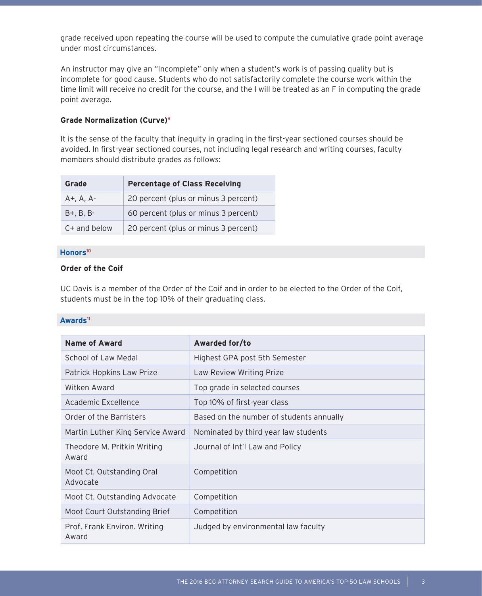grade received upon repeating the course will be used to compute the cumulative grade point average under most circumstances.

An instructor may give an "Incomplete" only when a student's work is of passing quality but is incomplete for good cause. Students who do not satisfactorily complete the course work within the time limit will receive no credit for the course, and the I will be treated as an F in computing the grade point average.

# **Grade Normalization (Curve)**<sup>9</sup>

It is the sense of the faculty that inequity in grading in the first-year sectioned courses should be avoided. In first-year sectioned courses, not including legal research and writing courses, faculty members should distribute grades as follows:

| Grade             | <b>Percentage of Class Receiving</b> |
|-------------------|--------------------------------------|
| $A+$ , $A$ , $A-$ | 20 percent (plus or minus 3 percent) |
| $B + B$ . $B - B$ | 60 percent (plus or minus 3 percent) |
| $C+$ and below    | 20 percent (plus or minus 3 percent) |

# **Honors**<sup>10</sup>

# **Order of the Coif**

UC Davis is a member of the Order of the Coif and in order to be elected to the Order of the Coif, students must be in the top 10% of their graduating class.

## **Awards**<sup>11</sup>

| <b>Name of Award</b>                  | Awarded for/to                           |
|---------------------------------------|------------------------------------------|
| School of Law Medal                   | Highest GPA post 5th Semester            |
| Patrick Hopkins Law Prize             | Law Review Writing Prize                 |
| Witken Award                          | Top grade in selected courses            |
| Academic Excellence                   | Top 10% of first-year class              |
| Order of the Barristers               | Based on the number of students annually |
| Martin Luther King Service Award      | Nominated by third year law students     |
| Theodore M. Pritkin Writing<br>Award  | Journal of Int'l Law and Policy          |
| Moot Ct. Outstanding Oral<br>Advocate | Competition                              |
| Moot Ct. Outstanding Advocate         | Competition                              |
| Moot Court Outstanding Brief          | Competition                              |
| Prof. Frank Environ. Writing<br>Award | Judged by environmental law faculty      |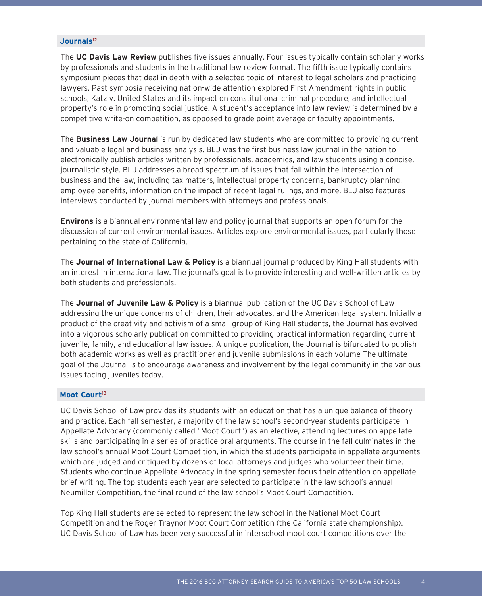## **Journals**<sup>12</sup>

The **UC Davis Law Review** publishes five issues annually. Four issues typically contain scholarly works by professionals and students in the traditional law review format. The fifth issue typically contains symposium pieces that deal in depth with a selected topic of interest to legal scholars and practicing lawyers. Past symposia receiving nation-wide attention explored First Amendment rights in public schools, Katz v. United States and its impact on constitutional criminal procedure, and intellectual property's role in promoting social justice. A student's acceptance into law review is determined by a competitive write-on competition, as opposed to grade point average or faculty appointments.

The **Business Law Journal** is run by dedicated law students who are committed to providing current and valuable legal and business analysis. BLJ was the first business law journal in the nation to electronically publish articles written by professionals, academics, and law students using a concise, journalistic style. BLJ addresses a broad spectrum of issues that fall within the intersection of business and the law, including tax matters, intellectual property concerns, bankruptcy planning, employee benefits, information on the impact of recent legal rulings, and more. BLJ also features interviews conducted by journal members with attorneys and professionals.

**Environs** is a biannual environmental law and policy journal that supports an open forum for the discussion of current environmental issues. Articles explore environmental issues, particularly those pertaining to the state of California.

The **Journal of International Law & Policy** is a biannual journal produced by King Hall students with an interest in international law. The journal's goal is to provide interesting and well-written articles by both students and professionals.

The **Journal of Juvenile Law & Policy** is a biannual publication of the UC Davis School of Law addressing the unique concerns of children, their advocates, and the American legal system. Initially a product of the creativity and activism of a small group of King Hall students, the Journal has evolved into a vigorous scholarly publication committed to providing practical information regarding current juvenile, family, and educational law issues. A unique publication, the Journal is bifurcated to publish both academic works as well as practitioner and juvenile submissions in each volume The ultimate goal of the Journal is to encourage awareness and involvement by the legal community in the various issues facing juveniles today.

#### Moot Court<sup>13</sup>

UC Davis School of Law provides its students with an education that has a unique balance of theory and practice. Each fall semester, a majority of the law school's second-year students participate in Appellate Advocacy (commonly called "Moot Court") as an elective, attending lectures on appellate skills and participating in a series of practice oral arguments. The course in the fall culminates in the law school's annual Moot Court Competition, in which the students participate in appellate arguments which are judged and critiqued by dozens of local attorneys and judges who volunteer their time. Students who continue Appellate Advocacy in the spring semester focus their attention on appellate brief writing. The top students each year are selected to participate in the law school's annual Neumiller Competition, the final round of the law school's Moot Court Competition.

Top King Hall students are selected to represent the law school in the National Moot Court Competition and the Roger Traynor Moot Court Competition (the California state championship). UC Davis School of Law has been very successful in interschool moot court competitions over the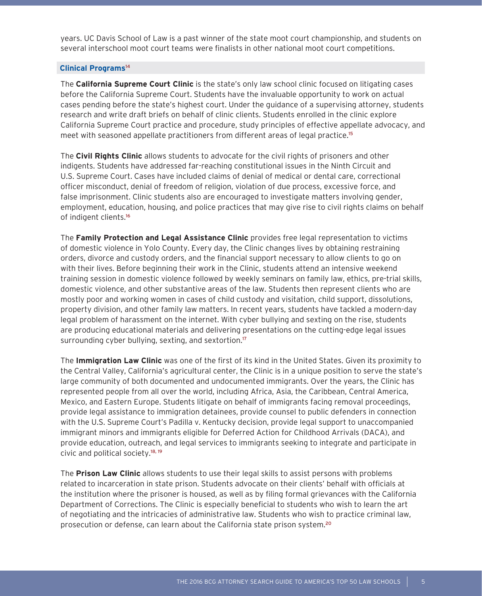years. UC Davis School of Law is a past winner of the state moot court championship, and students on several interschool moot court teams were finalists in other national moot court competitions.

# **Clinical Programs**<sup>14</sup>

The **California Supreme Court Clinic** is the state's only law school clinic focused on litigating cases before the California Supreme Court. Students have the invaluable opportunity to work on actual cases pending before the state's highest court. Under the guidance of a supervising attorney, students research and write draft briefs on behalf of clinic clients. Students enrolled in the clinic explore California Supreme Court practice and procedure, study principles of effective appellate advocacy, and meet with seasoned appellate practitioners from different areas of legal practice.<sup>15</sup>

The **Civil Rights Clinic** allows students to advocate for the civil rights of prisoners and other indigents. Students have addressed far-reaching constitutional issues in the Ninth Circuit and U.S. Supreme Court. Cases have included claims of denial of medical or dental care, correctional officer misconduct, denial of freedom of religion, violation of due process, excessive force, and false imprisonment. Clinic students also are encouraged to investigate matters involving gender, employment, education, housing, and police practices that may give rise to civil rights claims on behalf of indigent clients.<sup>16</sup>

The **Family Protection and Legal Assistance Clinic** provides free legal representation to victims of domestic violence in Yolo County. Every day, the Clinic changes lives by obtaining restraining orders, divorce and custody orders, and the financial support necessary to allow clients to go on with their lives. Before beginning their work in the Clinic, students attend an intensive weekend training session in domestic violence followed by weekly seminars on family law, ethics, pre-trial skills, domestic violence, and other substantive areas of the law. Students then represent clients who are mostly poor and working women in cases of child custody and visitation, child support, dissolutions, property division, and other family law matters. In recent years, students have tackled a modern-day legal problem of harassment on the internet. With cyber bullying and sexting on the rise, students are producing educational materials and delivering presentations on the cutting-edge legal issues surrounding cyber bullying, sexting, and sextortion.<sup>17</sup>

The **Immigration Law Clinic** was one of the first of its kind in the United States. Given its proximity to the Central Valley, California's agricultural center, the Clinic is in a unique position to serve the state's large community of both documented and undocumented immigrants. Over the years, the Clinic has represented people from all over the world, including Africa, Asia, the Caribbean, Central America, Mexico, and Eastern Europe. Students litigate on behalf of immigrants facing removal proceedings, provide legal assistance to immigration detainees, provide counsel to public defenders in connection with the U.S. Supreme Court's Padilla v. Kentucky decision, provide legal support to unaccompanied immigrant minors and immigrants eligible for Deferred Action for Childhood Arrivals (DACA), and provide education, outreach, and legal services to immigrants seeking to integrate and participate in civic and political society.18, 19

The **Prison Law Clinic** allows students to use their legal skills to assist persons with problems related to incarceration in state prison. Students advocate on their clients' behalf with officials at the institution where the prisoner is housed, as well as by filing formal grievances with the California Department of Corrections. The Clinic is especially beneficial to students who wish to learn the art of negotiating and the intricacies of administrative law. Students who wish to practice criminal law, prosecution or defense, can learn about the California state prison system.20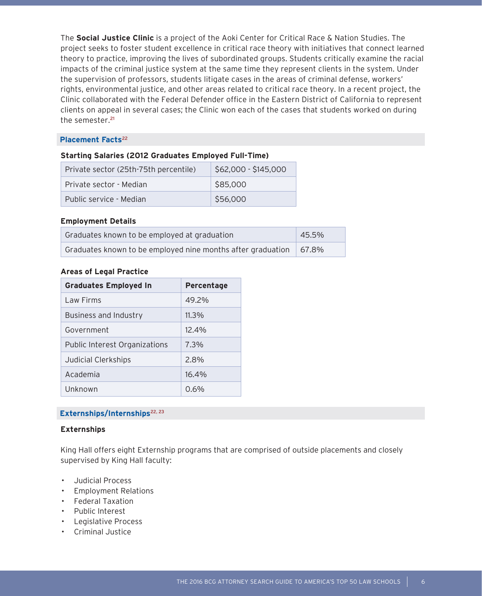The **Social Justice Clinic** is a project of the Aoki Center for Critical Race & Nation Studies. The project seeks to foster student excellence in critical race theory with initiatives that connect learned theory to practice, improving the lives of subordinated groups. Students critically examine the racial impacts of the criminal justice system at the same time they represent clients in the system. Under the supervision of professors, students litigate cases in the areas of criminal defense, workers' rights, environmental justice, and other areas related to critical race theory. In a recent project, the Clinic collaborated with the Federal Defender office in the Eastern District of California to represent clients on appeal in several cases; the Clinic won each of the cases that students worked on during the semester.<sup>21</sup>

## **Placement Facts<sup>22</sup>**

# **Starting Salaries (2012 Graduates Employed Full-Time)**

| Private sector (25th-75th percentile) | \$62,000 - \$145,000 |  |
|---------------------------------------|----------------------|--|
| Private sector - Median               | \$85,000             |  |
| Public service - Median               | \$56,000             |  |

## **Employment Details**

| Graduates known to be employed at graduation                | 45.5%    |
|-------------------------------------------------------------|----------|
| Graduates known to be employed nine months after graduation | $67.8\%$ |

## **Areas of Legal Practice**

| <b>Graduates Employed In</b>         | Percentage |
|--------------------------------------|------------|
| Law Firms                            | 49.2%      |
| Business and Industry                | $11.3\%$   |
| Government                           | 12.4%      |
| <b>Public Interest Organizations</b> | 7.3%       |
| Judicial Clerkships                  | 2.8%       |
| Academia                             | 16.4%      |
| Unknown                              | 0.6%       |

# Externships/Internships<sup>22, 23</sup>

# **Externships**

King Hall offers eight Externship programs that are comprised of outside placements and closely supervised by King Hall faculty:

- Judicial Process
- Employment Relations
- Federal Taxation
- Public Interest
- Legislative Process
- Criminal Justice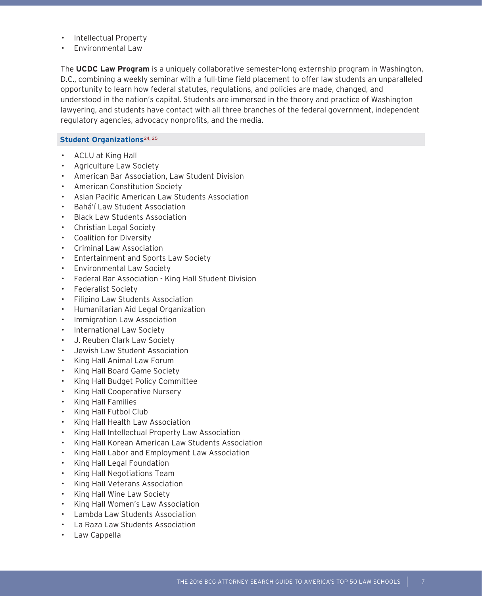- Intellectual Property
- Environmental Law

The **UCDC Law Program** is a uniquely collaborative semester-long externship program in Washington, D.C., combining a weekly seminar with a full-time field placement to offer law students an unparalleled opportunity to learn how federal statutes, regulations, and policies are made, changed, and understood in the nation's capital. Students are immersed in the theory and practice of Washington lawyering, and students have contact with all three branches of the federal government, independent regulatory agencies, advocacy nonprofits, and the media.

# **Student Organizations**<sup>24, 25</sup>

- ACLU at King Hall
- Agriculture Law Society
- American Bar Association, Law Student Division
- American Constitution Society
- Asian Pacific American Law Students Association
- Bahá'í Law Student Association
- Black Law Students Association
- Christian Legal Society
- Coalition for Diversity
- Criminal Law Association
- Entertainment and Sports Law Society
- Environmental Law Society
- Federal Bar Association King Hall Student Division
- Federalist Society
- Filipino Law Students Association
- Humanitarian Aid Legal Organization
- Immigration Law Association
- International Law Society
- J. Reuben Clark Law Society
- Jewish Law Student Association
- King Hall Animal Law Forum
- King Hall Board Game Society
- King Hall Budget Policy Committee
- King Hall Cooperative Nursery
- King Hall Families
- King Hall Futbol Club
- King Hall Health Law Association
- King Hall Intellectual Property Law Association
- King Hall Korean American Law Students Association
- King Hall Labor and Employment Law Association
- King Hall Legal Foundation
- King Hall Negotiations Team
- King Hall Veterans Association
- King Hall Wine Law Society
- King Hall Women's Law Association
- Lambda Law Students Association
- La Raza Law Students Association
- Law Cappella